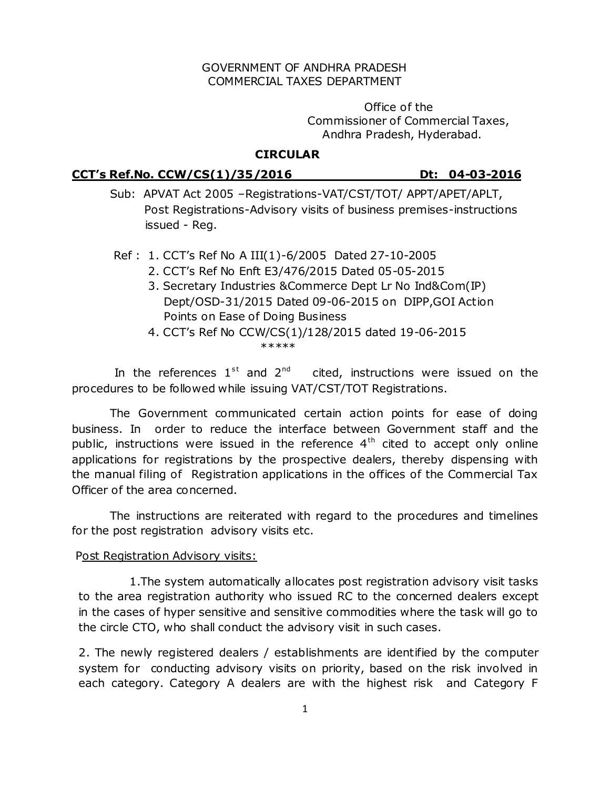### GOVERNMENT OF ANDHRA PRADESH COMMERCIAL TAXES DEPARTMENT

 Office of the Commissioner of Commercial Taxes, Andhra Pradesh, Hyderabad.

# **CIRCULAR**

### **CCT's Ref.No. CCW/CS(1)/35/2016 Dt: 04-03-2016**

- Sub: APVAT Act 2005 –Registrations-VAT/CST/TOT/ APPT/APET/APLT, Post Registrations-Advisory visits of business premises-instructions issued - Reg.
- Ref : 1. CCT's Ref No A III(1)-6/2005 Dated 27-10-2005
	- 2. CCT's Ref No Enft E3/476/2015 Dated 05-05-2015
	- 3. Secretary Industries &Commerce Dept Lr No Ind&Com(IP) Dept/OSD-31/2015 Dated 09-06-2015 on DIPP,GOI Action Points on Ease of Doing Business
- 4. CCT's Ref No CCW/CS(1)/128/2015 dated 19-06-2015 \*\*\*\*\*\*

In the references  $1^{st}$  and  $2^{nd}$ cited, instructions were issued on the procedures to be followed while issuing VAT/CST/TOT Registrations.

 The Government communicated certain action points for ease of doing business. In order to reduce the interface between Government staff and the public, instructions were issued in the reference  $4<sup>th</sup>$  cited to accept only online applications for registrations by the prospective dealers, thereby dispensing with the manual filing of Registration applications in the offices of the Commercial Tax Officer of the area concerned.

 The instructions are reiterated with regard to the procedures and timelines for the post registration advisory visits etc.

#### Post Registration Advisory visits:

1.The system automatically allocates post registration advisory visit tasks to the area registration authority who issued RC to the concerned dealers except in the cases of hyper sensitive and sensitive commodities where the task will go to the circle CTO, who shall conduct the advisory visit in such cases.

2. The newly registered dealers / establishments are identified by the computer system for conducting advisory visits on priority, based on the risk involved in each category. Category A dealers are with the highest risk and Category F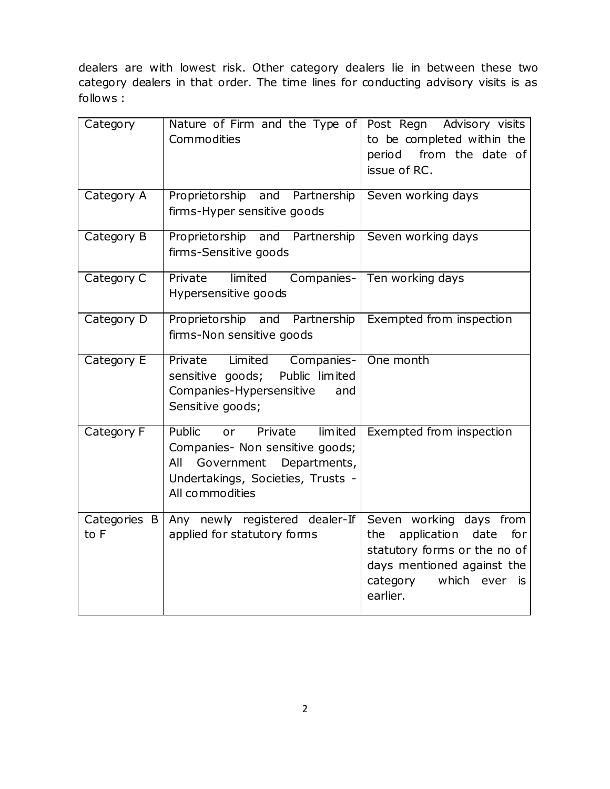dealers are with lowest risk. Other category dealers lie in between these two category dealers in that order. The time lines for conducting advisory visits is as follows :

| Category             | Nature of Firm and the Type of<br>Commodities                                                                                                                      | Post Regn Advisory visits<br>to be completed within the<br>period from the date of<br>issue of RC.                                                                  |
|----------------------|--------------------------------------------------------------------------------------------------------------------------------------------------------------------|---------------------------------------------------------------------------------------------------------------------------------------------------------------------|
| Category A           | Proprietorship and Partnership<br>firms-Hyper sensitive goods                                                                                                      | Seven working days                                                                                                                                                  |
| Category B           | Proprietorship and Partnership<br>firms-Sensitive goods                                                                                                            | Seven working days                                                                                                                                                  |
| Category C           | Private<br>limited<br>Companies-<br>Hypersensitive goods                                                                                                           | Ten working days                                                                                                                                                    |
| Category D           | Proprietorship and Partnership<br>firms-Non sensitive goods                                                                                                        | Exempted from inspection                                                                                                                                            |
| Category E           | Private<br>Limited<br>Companies-<br>sensitive goods;<br>Public limited<br>Companies-Hypersensitive<br>and<br>Sensitive goods;                                      | One month                                                                                                                                                           |
| Category F           | Public<br>Private<br>limited<br>or<br>Companies- Non sensitive goods;<br>Government<br>Departments,<br>All<br>Undertakings, Societies, Trusts -<br>All commodities | Exempted from inspection                                                                                                                                            |
| Categories B<br>to F | Any newly registered dealer-If<br>applied for statutory forms                                                                                                      | Seven working days from<br>application date<br>for<br>the<br>statutory forms or the no of<br>days mentioned against the<br>which ever<br>category<br>is<br>earlier. |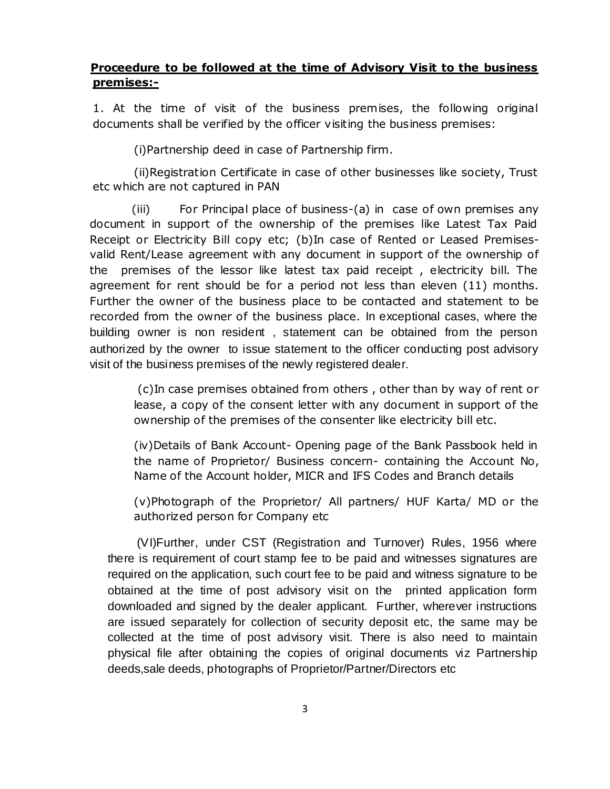# **Proceedure to be followed at the time of Advisory Visit to the business premises:-**

1. At the time of visit of the business premises, the following original documents shall be verified by the officer visiting the business premises:

(i)Partnership deed in case of Partnership firm.

(ii)Registration Certificate in case of other businesses like society, Trust etc which are not captured in PAN

 (iii) For Principal place of business-(a) in case of own premises any document in support of the ownership of the premises like Latest Tax Paid Receipt or Electricity Bill copy etc; (b)In case of Rented or Leased Premisesvalid Rent/Lease agreement with any document in support of the ownership of the premises of the lessor like latest tax paid receipt , electricity bill. The agreement for rent should be for a period not less than eleven (11) months. Further the owner of the business place to be contacted and statement to be recorded from the owner of the business place. In exceptional cases, where the building owner is non resident , statement can be obtained from the person authorized by the owner to issue statement to the officer conducting post advisory visit of the business premises of the newly registered dealer.

(c)In case premises obtained from others , other than by way of rent or lease, a copy of the consent letter with any document in support of the ownership of the premises of the consenter like electricity bill etc.

(iv)Details of Bank Account- Opening page of the Bank Passbook held in the name of Proprietor/ Business concern- containing the Account No, Name of the Account holder, MICR and IFS Codes and Branch details

(v)Photograph of the Proprietor/ All partners/ HUF Karta/ MD or the authorized person for Company etc

 (VI)Further, under CST (Registration and Turnover) Rules, 1956 where there is requirement of court stamp fee to be paid and witnesses signatures are required on the application, such court fee to be paid and witness signature to be obtained at the time of post advisory visit on the printed application form downloaded and signed by the dealer applicant. Further, wherever instructions are issued separately for collection of security deposit etc, the same may be collected at the time of post advisory visit. There is also need to maintain physical file after obtaining the copies of original documents viz Partnership deeds,sale deeds, photographs of Proprietor/Partner/Directors etc